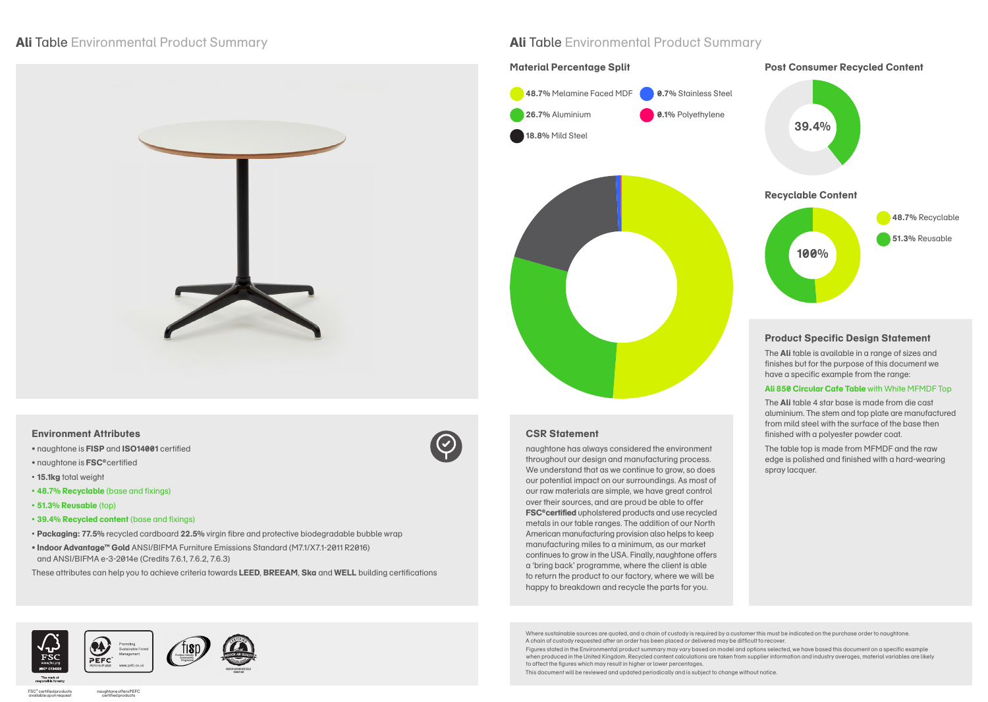### **Environment Attributes**

- naughtone is **FISP** and **ISO14001** certified
- naughtone is **FSC®**certified
- **15.1kg** total weight
- **• 48.7% Recyclable** (base and fixings)
- **• 51.3% Reusable** (top)
- **• 39.4% Recycled content** (base and fixings)
- **Packaging: 77.5%** recycled cardboard **22.5%** virgin fibre and protective biodegradable bubble wrap
- **Indoor Advantage™ Gold** ANSI/BIFMA Furniture Emissions Standard (M7.1/X7.1-2011 R2016) and ANSI/BIFMA e-3-2014e (Credits 7.6.1, 7.6.2, 7.6.3)

These attributes can help you to achieve criteria towards **LEED**, **BREEAM**, **Ska** and **WELL** building certifications













## **CSR Statement**

naughtone has always considered the environment throughout our design and manufacturing process. We understand that as we continue to grow, so does our potential impact on our surroundings. As most of our raw materials are simple, we have great control over their sources, and are proud be able to offer **FSC®certified** upholstered products and use recycled metals in our table ranges. The addition of our North American manufacturing provision also helps to keep manufacturing miles to a minimum, as our market continues to grow in the USA. Finally, naughtone offers a 'bring back' programme, where the client is able to return the product to our factory, where we will be happy to breakdown and recycle the parts for you.

### **Product Specific Design Statement**

The **Ali** table is available in a range of sizes and finishes but for the purpose of this document we have a specific example from the range:

#### **Ali 850 Circular Cafe Table** with White MFMDF Top

The **Ali** table 4 star base is made from die cast aluminium. The stem and top plate are manufactured from mild steel with the surface of the base then finished with a polyester powder coat.

The table top is made from MFMDF and the raw edge is polished and finished with a hard-wearing spray lacquer.



## **Material Percentage Split Consumer Recycled Content**

## **Ali** Table Environmental Product Summary **Ali** Table Environmental Product Summary





Where sustainable sources are quoted, and a chain of custody is required by a customer this must be indicated on the purchase order to naughtone. A chain of custody requested after an order has been placed or delivered may be difficult to recover. Figures stated in the Environmental product summary may vary based on model and options selected, we have based this document on a specific example when produced in the United Kingdom. Recycled content calculations are taken from supplier information and industry averages, material variables are likely to affect the figures which may result in higher or lower percentages.

This document will be reviewed and updated periodically and is subject to change without notice.

FSC® certified products available upon request